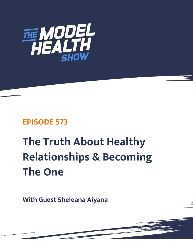

# **EPISODE 573**

# **The Truth About Healthy Relationships & Becoming The One**

**With Guest Sheleana Aiyana**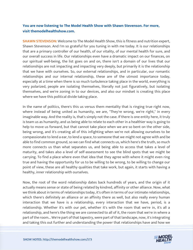# **You are now listening to The Model Health Show with Shawn Stevenson. For more, visit themodelhealthshow.com.**

**SHAWN STEVENSON:** Welcome to The Model Health Show, this is fitness and nutrition expert, Shawn Stevenson. And I'm so grateful for you tuning in with me today. It is our relationships that are a primary controller of our health, of our vitality, of our mental health for sure, and our overall success in life. Our relationships even have a dramatic impact on our finances, on our spiritual well-being, the list goes on and on, there isn't a domain of our lives that our relationships are not impacting and impacting very deeply, but primarily it is the relationship that we have with ourselves. So, our external relationships, and in particular, our romantic relationships and our internal relationship, these are of the utmost importance today, especially at a time when there is so much turbulence taking place in the world, everything is very polarized, people are isolating themselves, literally not just figuratively, but isolating themselves, and we're zoning in to our devices, and also our mindset is creating this place where we have this political divide taking place.

In the name of politics, there's this us versus them mentality that is ringing true right now, where instead of being united as humanity, we are, "They're wrong, we're right," in every imaginable way. And the reality is, that's simply not the case. If there is one entity here, it truly is team us as humanity, and us being able to relate to each other in a healthier way is going to help to move us forward, but that cannot take place when we are so bent on the other side, being wrong, and it's creating all of this infighting when we're not allowing ourselves to be compassionate to lend a ear, to lend a space, to someone that we might not agree with and be able to find common ground, so we can find what connects us, which here's the truth, so much more connects us than what separates us, and being able to access that takes a level of maturity, and takes also a level of self-assessment to see the blind spots that we might be carrying. To find a place where even that idea that they agree with where it might even ring true and having the opportunity for us to be willing to be wrong, to be willing to change our point of view, these are all healthy qualities that take work, but again, it starts with having a healthy, inner relationship with ourselves.

Now, the root of the word relationship dates back hundreds of years, and the origin of it actually means sense or state of being related by kindred, affinity or other alliance. Now, what we think about in terms of relationships today, it's often in terms of our intimate relationships, which there's definitely an alliance or an affinity there as well, but also really every human interaction that we have is a relationship, every interaction that we have, period, is a relationship. Whether it's with our pet, whether it's with the room that we're in, it's all a relationship, and here's the thing we are connected to all of it, the room that we're in where a part of the room... We're part of that tapestry, were part of that landscape, now, it's integrating [and taking this out further and understanding the power that relationships have and how we](https://themodelhealthshow.com/sheleana-aiyana/)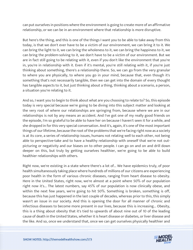can put ourselves in positions where the environment is going to create more of an affirmative relationship, or we can be in an environment where that relationship is more disruptive.

But here's the thing, and this is one of the things I want you to be able to take away from this today, is that we don't ever have to be a victim of our environment, we can bring it to it. We can bring the light to it, we can bring the wholeness to it, we can bring the happiness to it, we can bring the problem-solving to it, we don't have to be a victim of our environment. But we are in fact still going to be relating with it, even if you don't like the environment that you're in, you're in relationship with it. Even if it's mental, you're still relating with it, if you're just thinking about something, there's a relationship there. So, we can go from the very granular to where you are physically, to where you go in your mind, because that, even though it's something that's not necessarily tangible, then we can get into the domain of every thought has tangible aspects to it, but just thinking about a thing, thinking about a scenario, a person, a situation you're relating to it.

And so, I want you to begin to think about what are you choosing to relate to? So, this episode today is very special because we're going to be diving into this subject matter and looking at the very root of where our relationships are springing from, because where we are in our relationships is not by any means an accident. And I've got one of my really good friends on the episode, I'm so grateful to be able to have her on because I haven't seen it for a while, and she dropped in for this very special conversation. And it's, again, it's one of the most important things of our lifetime, because the root of the problems that we're facing right now as a society is at its core, a series of relationship issues, humans not relating well to each other, not being able to perspective-take and to have a healthy relationship with oneself that we're not outpicturing or negativity and our biases on to other people. I can go on and on and drill down deeper on this, but truly by getting ourselves healthier, we're going to be able to build healthier relationships with others.

Right now, we're existing in a state where there's a lot of... We have epidemics truly, of poor health simultaneously taking place where hundreds of millions of our citizens are experiencing poor health in the form of various chronic diseases, ranging from heart disease to obesity. Here in the United States, right now, we're almost at a point where 50% of our population right now it's... The latest numbers, say 45% of our population is now clinically obese, and within the next few years, we're going to hit 50%. Something is broken, something is off, because this has just happened in the last couple of decades, whereas prior to this, this simply wasn't an issue in our society. And this is opening the door for all manner of chronic and infectious diseases to become more present in our lives, because this is increasing... Obesity, this is a thing about obesity that it's tied to upwards of about nine out of 10 of the leading cause of death in the United States, whether it is heart disease or diabetes, or liver disease and the like. And so, once we understand that, once we can get ourselves physically healthier and

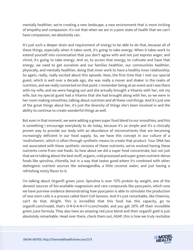mentally healthier, we're creating a new landscape, a new environment that is more inviting of empathy and compassion. It's not that when we are in a poor state of health that we can't have compassion, we absolutely can.

It's just such a deeper drain and requirement of energy to be able to do that, because all of these things, especially when it takes work, it's going to take energy. When it takes work to extend yourself into conversation that you don't agree with and not just express anger, and vitriol, it's going to take energy. And so, to access that energy, to cultivate and have that energy, we need to get ourselves and our families healthier, our communities healthier, physically, and mentally healthier, doing that inner work to have a healthy inner relationship. So again, really, really excited about this episode. Now, the first time that I met our special guest, which is well over a decade ago, she was really a mover and shaker in the realm of nutrition, and we really connected on that point. I remember being at an event and I was there with my wife, and we were hanging out and she actually brought a Vitamix with her, not my wife, but my special guest had a Vitamix that she had brought along with her, so we were in her room making smoothies, talking about nutrition and all these cool things. And it's just one of the great things about her, it's just the diversity of things she's been involved in and the ability to continue to create wonderful things as well.

But even in that moment, we were adding a green super food blend to our smoothies, and this is something I encourage everybody to do today, because it's so simple and it's a clinically proven way to provide our body with an abundance of micronutrients that are becoming increasingly deficient in our food supply. So, we have this concept in our culture of a 'multivitamin', which is often through synthetic means to create that product. Your DNA has not associated with these synthetic versions of these nutrients, we've evolved having these nutrients come from real foods. So how about we did a super food concentrate, but not just that we're talking about the best stuff, organic, cold processed and super green nutrient-dense foods like spirulina, chlorella, but in a way that tastes good where it's combined with other dathogenic nutrient sources like ashwagandha, a little coconut water, and just having a refreshing minty flavor to it.

I'm talking about Organifi green juice. Spirulina is over 70% protein by weight, one of the densest sources of bio-available magnesium and rare compounds like pyocyanin, which now we have purview evidence demonstrating how pyocyanin is able to stimulate the production of new stem cells is a process called Stem Cell Genesis. And it's just remarkable, like Cheerios, can't do that. Alright. This is incredible that this food has this capacity, go to organifi.com/model, that's O-R-G-A-N-I-F-I.com/model, and you get 20% off their incredible green juice formula. They also have an amazing red juice blend and their organifi gold is just absolutely remarkable. Head over there, check them out, ASAP, this is how we truly revitalize

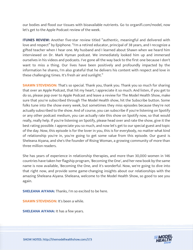our bodies and flood our tissues with bioavailable nutrients. Go to organifi.com/model, now let's get to the Apple Podcast review of the week.

**ITUNES REVIEW:** Another five-star review titled "authentic, meaningful and delivered with love and respect" by Epiphone. "I'm a retired educator, principal of 38 years, and I recognize a gifted teacher when I hear one. My husband and I learned about Shawn when we heard him interviewed on Dr. Mark Hyman podcast. We immediately looked him up and immersed ourselves in his videos and podcasts. I've gone all the way back to the first one because I don't want to miss a thing. Our lives have been positively and profoundly impacted by the information he shares, I'm also grateful that he delivers his content with respect and love in these challenging times. It's fresh air and sunlight."

**SHAWN STEVENSON:** That's so special. Thank you, thank you. Thank you so much for sharing that over an Apple Podcast, that hit my heart, I appreciate it so much. And listen, if you get to do so, please pop over to Apple Podcast and leave a review for The Model Health Show, make sure that you're subscribed through The Model Health show, hit the Subscribe button. Some folks tune into the show every week, but sometimes they miss episodes because they're not actually subscribed to the show. And of course, you can subscribe if you're listening on Spotify or any other podcast medium, you can actually rate this show on Spotify now, so that would really, really help. If you're listening on Spotify, please head over and rate the show, give it the best rating possible. I appreciate you so much, and now let's get to our special guest and topic of the day. Now, this episode is for the lover in you, this is for everybody, no matter what kind of relationship you're in, you're going to get some value from this episode. Our guest is Sheleana Aiyana, and she's the founder of Rising Woman, a growing community of more than three million readers.

She has years of experience in relationship therapies, and more than 30,000 women in 146 countries have taken her flagship program, 'Becoming the One', and her new book by the same name is now available, 'Becoming the One, and it's wonderful. Now, we're going to dive into that right now, and provide some game-changing insights about our relationships with the amazing Sheleana Aiyana. Sheleana, welcome to the Model Health Show, so good to see you again.

**SHELEANA AIYANA:** Thanks, I'm so excited to be here.

**SHAWN STEVENSON:** It's been a while.

**SHELEANA AIYANA:** It has a few years.

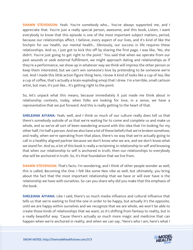**SHAWN STEVENSON:** Yeah. You're somebody who... You've always supported me, and I appreciate that. You're just a really special person, awesome, and this book, Listen, I want everybody to know that this episode is one of the most important subject matters, period, because our relationships affect, I believe, every aspect of our lives, and it's kind of like the linchpin for our health, our mental health... Obviously, our success in life requires these relationships. And so, I just got to kick this off by sharing the first page. I was like, "No, she didn't. You're just going to get right to the point." You said that when we operate from our past wounds or seek external fulfillment, we might approach dating and relationships as if they're a performance, we show up in whatever way we think will impress the other person or keep them interested, but we can't win someone's love by pretending to be someone we're not. And I made this little action figure thing here, I know it kind of looks like a cup of tea, like a cup of coffee, that's actually a brain-exploding emoji that I drew. I'm a terrible, small cartoon artist, but man, it's just like... It's getting right to the point.

So, let's unpack what this means, because immediately it just made me think about in relationship contexts, today, when folks are looking for love, in a sense, we have a representative that we put forward. And this is really getting to the heart of that.

**SHELEANA AIYANA:** Yeah, well, and I think so much of our culture really does tell us that there's somebody outside of us that we're waiting for to come and complete us and make us whole, and so we've all sort of been wandering around with this idea that I'm looking for my other half, I'm half a person. And we also have a lot of these beliefs that we're broken somehow, and really, when we're operating from that place, there's no way that we're actually going to call in a healthy aligned partner because we don't know who we are, and we don't know what we stand for. And so, a lot of this book is really a reclaiming in relationship to self and knowing that when our relationship to self is anchored in truth, then our relationships to everybody else will be anchored in truth. So, it's that foundation that we live from.

**SHAWN STEVENSON:** That's facts. I'm wondering, and I think of other people wonder as well, this is called, Becoming the One. I felt like some Neo vibe as well, but ultimately, you bring about the fact that the most important relationship that we have or will ever have is the relationship we have with ourselves. So can you share why did you make that the emphasis of the book.

**SHELEANA AIYANA:** Like I said, there's so much media influence and cultural influence that tells us that we're waiting to find the one in order to be happy, but actually it's the opposite, until we are happy within ourselves and we recognize that we are whole, we won't be able to create those kinds of relationships that we want, so it's shifting from fantasy to reality, but in a really beautiful way. 'Cause there's actually so much more magic and medicine that can happen when we're anchored in reality, and when we can say, "Here's who I am, here's what I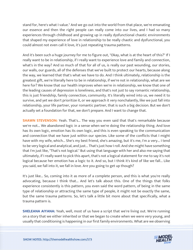stand for, here's what I value." And we go out into the world from that place, we're emanating our essence and then the right people can really come into our lives, and I had so many experiences through childhood and growing up in really dysfunctional chaotic environments that shaped my experience of love in relationship to be really chaotic and dysfunctional, you could almost not even call it love, it's just repeating trauma patterns.

And it's been such a huge journey for me to figure out, "Okay, what is at the heart of this?" If I really want to be in relationship, if I really want to experience love and family and connection, what's in the way? And so much of that for all of us, is really our past wounding, our stories, our walls, our guards, all of the defenses that we've built to protect our hearts, because along the way, we learned that that's what we have to do. And I think ultimately, relationship is the greatest gift, we're literally here to be in relationship, if we're not in relationship, what are we here for? We know that our health improves when we're in relationship, we know that one of the leading causes of depression is loneliness, and that's not just to say romantic relationship, this is just friendship, family connection, community. It's literally wired into us, we need it to survive, and yet we don't prioritize it, or we approach it very nonchalantly, like we just fall into relationship, your life partner, your romantic partner, that is such a big decision. But we don't actually set a foundation for that, we don't prepare. And I want to change that.

**SHAWN STEVENSON:** Yeah. That's... The way you even said that that's remarkable because we're not... We abandoned logic in a sense when we're doing the relationship thing. And love has its own logic, emotion has its own logic, and this is even speaking to the communication and connection that we have just within our species. Like some of the conflicts that I might have with my wife, which... She's my best friend, she's amazing, but it's me, I'm a very... I tend to be very logical and analytical, and just... That's just how I roll. And she might have something that I'm just like, "That's not logical." But using that language with her and also me saying that ultimately, if I really want to pick this apart, that's not a logical statement for me to say it's not logical because her emotion has a logic to it. And so, but I think it's kind of like we fall... Like you said, we fall into it, we fall in love. Are you going to get up though?

It's just like... So, coming into it as more of a complete person, and this is what you're really advocating, because I think that... And let's talk about this. One of the things that folks experience consistently is this pattern, you even said the word pattern, of being in the same type of relationship or attracting the same type of people, it might not be exactly the same, but the same trauma patterns. So, let's talk a little bit more about that specifically, what a trauma pattern is.

**SHELEANA AIYANA:** Yeah, well, most of us have a script that we're living out. We're running on a story that we either inherited or that we began to create when we were very young, and usually that conditioning is happening in our first family environments. What are we observing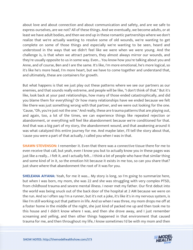about love and about connection and about communication and safety, and are we safe to express ourselves, are we not? All of these things. And we eventually, we become adults, or at least we have adult bodies, and then we end up in these romantic partnerships where we don't realize that we're actually wanting to resolve some of old wounds, we're wanting to get complete on some of those things and especially we're wanting to be seen, heard and understood in the ways that we didn't feel like we were when we were young. And the challenge is, is that when we attract partners, they almost always mirror our wounds, and they're usually opposite to us in some way. Even... You know how you're talking about you and Anne, and of course, Ben and I are the same. It's like, I'm more emotional, he's more logical, so it's like he's more head, I'm more heart, but we have to come together and understand that, and ultimately, these are containers for growth.

But what happens is that we just play out these patterns where we see our partners as our enemies, and that sounds really extreme, and people will be like, "I don't think of that." But it's like, look back at your past relationships, how many of those ended catastrophically, and did you blame them for everything? Or how many relationships have we ended because we felt like there was just something wrong with that partner, and we were out looking for the one. 'Cause, "Oh, you're just not the one." And really, these are trauma patterns that are playing out, and again, too, a lot of the times, we can experience things like repeated rejection or abandonment, or everything will feel like abandonment because we're conditioned for that. And that was a big part of my story, the abandonment wound, and that awakening around it was what catalyzed this entire journey for me. And maybe later, I'll tell the story about that, 'cause you were a part of that actually, I called you when I was in that.

**SHAWN STEVENSON:** I remember it. Even that there was a connective tissue there for me to even receive that call, but yeah, even I know you but to actually know you in these pages was just like a really... I felt it, and I actually felt... I think a lot of people who have that similar thing and some kind of in it, so the emotion hit because it exists in me too, so can you share that? Just share where that abandonment the root of it was for you.

**SHELEANA AIYANA:** Yeah, for me it was... My story is long, so I'm going to summarize here, but when I was born, my mom, she was 22 and she was struggling with very complex PTSD, from childhood trauma and severe mental illness. I never met my father. Our first debut into the world was being snuck out of the back door of the hospital at 2 AM because we were on the run. And so I often say I'm a runner, but it's not a joke, it's like it's in my nervous system, is like I'm still working out that pattern in life. And so when I was three, my mom drops me off at a foster home in the middle of the night, she just kind of packed me up and then took me to this house and I didn't know where I was, and then she drove away, and I just remember screaming and yelling, and then other things happened in that environment that caused trauma for me, and then throughout my life, I know sometimes I'd be with my mom and then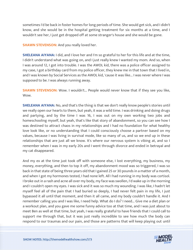sometimes I'd be back in foster homes for long periods of time. She would get sick, and I didn't know, and she would be in the hospital getting treatment for six months at a time, and I wouldn't see her, I just get dropped off at some stranger's house and she would be gone.

**SHAWN STEVENSON:** And you really loved her.

**SHELEANA AIYANA:** I did, and I love her and I'm so grateful to her for this life and at the time, I didn't understand what was going on, and I just really knew I wanted my mom. And so, when I was around 12, I got into trouble. I was the AWOL kid, there was a police officer assigned to my case, I got a birthday card from my police officer, they knew me in that town that I lived in, and I was known by Social Services as the AWOL kid, 'cause it was like... I was never where I was supposed to be. I was always running away.

**SHAWN STEVENSON:** Wow. I wouldn't... People would never know that if they see you like, Wow.

**SHELEANA AIYANA:** No, and that's the thing is that we don't really know people's stories until we really open our hearts to them, but yeah, it was a wild time. I was drinking and doing drugs and partying, and by the time I was 16, I was out on my own working two jobs and homeschooling myself, but yeah, that's like that story of abandonment, so you can see how I was destined to attract chaos in my relationships and I had no foundation for what healthy love look like, or no understanding that I could consciously choose a partner based on my values, because I was living in survival mode, like so many of us, and so we end up in these relationships that are just all we know. It's where our nervous system is vibing at, and so I remember when I was in my early 20s and I went through divorce and ended in betrayal and my cat disappeared.

And my ex at the time just took off with someone else, I lost everything, my business, my money, everything, and then to top it off, my abandonment mood was so triggered, I was so back in that state of being three years old that I gained 25 or 30 pounds in a matter of a month, and when I got my hormones tested, I had none left. All I had running in my body was cortisol. I broke out in a rash and acne all over my body, my face was swollen, I'd wake up in the morning and I couldn't open my eyes. I was sick and it was so much my wounding. I was like, I hadn't let myself feel all of the pain that I had buried so deeply, I had never felt pain in my life, I just bypassed it all until that moment, and then it all came, and my body couldn't handle it. And I remember calling you and I was like, I need help. What do I do? I need... Give me a diet plan or a workout plan, and you gave me some funny advice too at that time, and I was just about to meet Ben as well at that time, but yeah, I was really grateful to have friends that I could call to support me through that, but it was just really incredible to see how much the body can respond to our traumas and our pain, and those are patterns that will keep playing out until

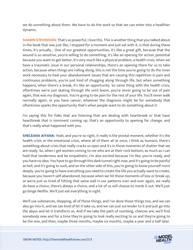we do something about them. We have to do the work so that we can enter into a healthier dynamic.

**SHAWN STEVENSON:** That's so powerful. I love this. This is another thing that you talked about in the book that was just like, I stopped for a moment and just sat with it, is that during these times, it's actually... One of our greatest opportunities, it's like a great gift, because that the wound is so sensitive, you're willing to do something, it's like an opening for action, potential because you want to get better, It's very much like a physical problem, a health crisis, when we have a traumatic issue in our personal relationships, there's an opening there for us to take action, because when things are rolling along, this is not the time you're going to do the inner work necessary to heal your abandonment issues that are causing this repetition in pain and continuous problems, you're just kind of chugging along through life, but when something happens, when there's a break, it's like an opportunity. So same thing with the health crisis, oftentimes we're just skating through life until boom, you're never going to be out of pain again, that was my diagnosis. You're going to be pain for the rest of your life. You'll never walk normally again, or you have cancer, whatever the diagnosis might be for somebody that oftentimes sparks the opportunity that's when people want to do something about it.

I'm saying this for folks that are listening that are dealing with heartbreak or that have heartbreak that is imminent coming up, that's an opportunity to opening for change, and that's really what happened with you.

**SHELEANA AIYANA:** Yeah, and you're so right, it really is the pivotal moment, whether it's the health crisis or the emotional crisis, where all of them all at once, I think as humans, there's something about crisis that really cracks us open and it's in those moments of shatter that we are ready. So, when I get women coming to me who are at their rock bottom, as much as I can hold that tenderness and be empathetic, I'm also excited because I'm like, you're ready, and you have no idea. You have to go through this dark tunnel right now, and it's going to be painful as hell, and it's going to suck, and on the other side of this, you're going to know yourself more deeply, you're going to have everything you need to create the life you actually want to create, because you haven't self-abandoned, because when we hit these moments of loss or break up, or we're just so tired of hitting that same wall in our patterns over and over again, we really do have a choice, there's always a choice, and a lot of us will choose to numb it out. We'll just go binge Netflix. We'll just eat everything in sight.

We'll use substances, shopping, all of those things, and I've done those things too, and we can also go into it, and we can kind of let it take us, and we can just surrender to it and just go into the abyss and let it transform us. And if we take the path of numbing, chances are, we'll find somebody new and for a time they're going to look really exciting to us and they're going to be the one, and then, maybe three months, maybe six months, maybe a year and a half later.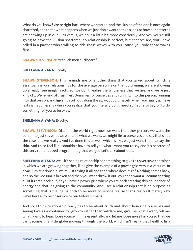What do you know? We're right back where we started, and the illusion of the one is once again shattered, and that's what happens when we just don't want to take a look at how our patterns are showing up in our lives versus, we do it a little bit more consciously. And yes, you're still going to have the illusion shattered, no relationship is perfect, but chances are, you'll have called in a partner who's willing to ride those waves with you, 'cause you rode those waves first.

#### **SHAWN STEVENSON:** Yeah, ah men surfboard?

#### **SHELEANA AIYANA:** Totally.

**SHAWN STEVENSON:** This reminds me of another thing that you talked about, which is essentially in our relationships for the average person is on the job training, we are showing up already, seemingly fractured, we don't realize the wholeness that we are, and we're just kind of... We're kind of crash Test Dummies for ourselves and running into this person, running into that person, and figuring stuff out along the away, but ultimately, when you finally achieve lasting happiness is when you realize that you literally don't need someone to say or to do something for you to be okay.

#### **SHELEANA AIYANA: Exactly.**

**SHAWN STEVENSON:** Often in the world right now, we want the other person, we want the person to just say what we want, do what we want, we might lie to ourselves and say that's not the case, and we really... And I've done this as well, which is like, we just want them to say the thin. And I also feel like I shouldn't have to tell you what I want you to say and it's because of this very romanticized programming that we get. Let's talk about that.

**SHELEANA AIYANA:** Well, it's seeing relationship as something to give to us versus a container in which we are growing together, like I give the example of a power grid versus a vacuum. In a vacuum relationship, we're just taking it all and then where does it go? Nothing comes back, and so the vacuum is broken and then you want throw it out, you don't want a vacuum spitting all of its crap back out, or you have a power grid where you're both creating this abundance of energy and that it's giving to the community. And I see a relationship that is on purpose as something that is fueling us both to be more of service, 'cause that's really ultimately why we're here is to be of service to our fellow humans.

And so, I think relationship really has to be about truth and about honoring ourselves and seeing love as a container for growth rather than validate me, give me what I want, tell me what I want to hear, loose yourself in me essentially, and let me loose myself in you so that we can become this little globe moving through the world, which isn't really that healthy. In a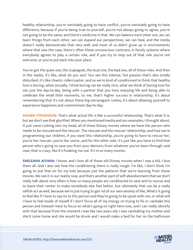healthy relationship, you're inevitably going to have conflict, you're inevitably going to have difference, because if you're being true to yourself, you're not always going to agree, you're not going to be the same, and there's medicine in that. We can balance each other out, we can learn things from each other, we can expand our perspectives, we can heal, and the media doesn't really demonstrate that very well, and most of us didn't grow up in environments where that was the case, there's often these unconscious contracts in family systems where everybody agrees to play a certain role, and if you try to step out of that role you're not welcome, or you're put back into your place.

You've got the quiet one, the scapegoat, the loud one, the bad one, all of these roles. And then in the media, it's like, what do you see? You see this intense, hot passion that's also totally disturbed, it's like chaotic rollercoaster, and so we're kind of conditioned to think that healthy love is boring, when actually, I think boring can be really nice, what we think of boring love for me, just the day-to-day, being with a partner that you love, enjoying life and being able to celebrate the small little moments, to me, that's higher success in relationship, it's about remembering that it's not about these big extravagant rushes, it's about allowing yourself to experience happiness and contentment day-to-day.

**SHAWN STEVENSON:** That's what actual life is like a successful relationship. That's what it is, but we don't see that glorified. When you mentioned media and our examples, I thought about, it just came rushing into my head, all of these Disney movies where we have the person who needs to be rescued and the rescuer. The rescuee and the rescuer relationship, and how we're programming our children, if you want this relationship, you're going to have to rescue her, you're her rescuer, you're her savior, and for the other side, it's just like you have to find that person who's going to save you from your demons, from whatever you've been through, and man, that is crazy, like it's freaking me out. It's in so many movies.

**SHELEANA AIYANA:** I know, and I love all of those old Disney movies when I was a kid, I love them all. And I also see how the conditioning there is really rough. I'm like, I don't think I'm going to put that on for my kids because just the patterns that we're learning from those movies. We see it in our reality now, and that's another part of self-abandonment that we don't really talk about very often is how so many people are conditioned to save and to rescue and to leave their center to make somebody else feel better, but ultimately that can be a really selfish act as well, because we're just trying to get rid of our own anxiety of like, What's it going to feel like if I have to say no to this person and they're going to be upset with me, or what will I have to feel inside of myself if I don't focus all of my energy on trying to fix or caretake this person and instead I have to focus on what's going on right here now, and I can really identify with that because from the moment I was like two years old, I was caretaking my mother and she'd come home and she would be drunk and I would make a bed for her on the bathroom

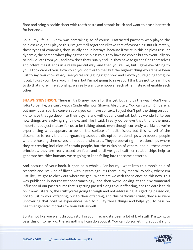floor and bring a cookie sheet with tooth paste and a tooth brush and want to brush her teeth for her and...

So, all my life, all I knew was caretaking, so of course, I attracted partners who played the helpless role, and I played this, I've got it all together, I'll take care of everything. But ultimately, those types of dynamics, they usually end in betrayal because if we're in this helpless rescuer dynamic, the person who's playing that helpless role, they have no choice but to eventually try to individuate from you, and how does that usually end up, they have to go and find themselves and oftentimes it ends in a really painful way, and then you're like, but I gave everything to you, I took care of you. How could you do this to me? But the highest thing would have been just to say, you know what, I see you're struggling right now, and I know you're going to figure it out, I trust you, I love you, I'm here, but I'm not going to save you. I think we got to learn how to do that more in relationship, we really want to empower each other instead of enable each other.

**SHAWN STEVENSON:** There isn't a Disney movie for this yet, but and by the way, I don't want folks to be like, we can't watch Cinderella now, Shawn. Absolutely. You can watch Cinderella, but now it can spark a conversation, you can have context, So just don't put the thing on your kid to have that go deep into their psyche and without any context, but it's wonderful to see how things are evolving right now, and like I said, I really do believe that this is the most important subject matter for us to be talking about, even though currently worldwide we're experiencing what appears to be on the surface of health issue, but this is... All of the dissonance is really the under-guarding aspect is disrupted relationships with people, people who are hurting themselves, and people who are... They're operating in relationships where they're creating inclusion of certain people, but the exclusion of others, and all these other principles, they are really based on fear, and until we get healthier relationships help to generate healthier humans, we're going to keep falling into the same patterns.

And because of your book, it sparked a whole... For hours, I went into this rabbit hole of research and I've kind of flirted with it years ago, it's there in my mental Rolodex, where I'm just like, I've got to check out where we get... Where are we with the science on this now. This was published in neuropsychopharmacology, and then we're looking at the environmental influence of our past trauma that is getting passed along to our offspring, and the data is thick on it now. Literally, the stuff you're going through and not addressing, it's getting passed on, not to just to your offspring, but to their offspring, and this particular study, they also were uncovering that positive experiences help to nullify those things and helps you to pass on healthier genetic imprints for your kids as well.

So, it's not like you went through stuff in your life, and it's been a lot of bad stuff, I'm going to pass this on to my kid, there's nothing I can do about it. You can do something about it right

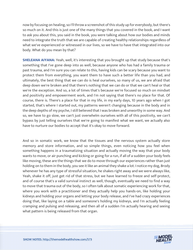now by focusing on healing, so I'll throw a screenshot of this study up for everybody, but there's so much on it. And this is just one of the many things that you covered in the book, and I want to ask you about this, you said in the book, you were talking about how our bodies and minds need to integrate the truth that we are capable of creating healthy relationships regardless of what we've experienced or witnessed in our lives, so we have to have that integrated into our body. What do you mean by that?

**SHELEANA AIYANA:** Yeah, well, it's interesting that you brought up that study because that's something that I've gone deep into as well, because anyone who has had a family trauma or past trauma, and I'm sure you can relate to this, having kids can be scary because you want to protect them from everything, you want them to have such a better life than you had, and ultimately, the best thing that we can do is heal ourselves, so many of us, we are afraid that deep down we're broken and that there's nothing that we can do or that we can't heal or that we're the exception. And so, a lot of times that's because we're focused so much on mindset and positivity and empowerment work, and I'm not saying that there's no place for that. Of course, there is. There's a place for that in my life, in my early days, 10 years ago when I got started, that's where I started out, my patterns weren't changing because in the body and in the deep depths of my psyche, I still believed that I was broken and unworthy in some way. And so, we have to go slow, we can't just overwhelm ourselves with all of this positivity, we can't bypass by just telling ourselves that we're going to manifest what we want, we actually also have to nurture our bodies to accept that it's okay to move forward.

And so in somatic work, we know that the tissues and the nervous system actually store memory and store information, and so simple things, even noticing how you feel when something happens in a traumatizing situation and actually moving the way that your body wants to move, or air punching and kicking or going for a run, if all of a sudden your body feels like moving, these are the things that we do to move through our experiences rather than just holding on to them in the body, you see it like an animal they shake a lot. I notice my dog, Brody whenever he has any type of stressful situation, he shakes right away and we were always like, Yeah, shake it off, just get rid of that stress, but we have learned to freeze and self-protect, and of course that's a valid survival instinct as well, though, eventually we need to find a way to move that trauma out of the body, so I often talk about somatic experiencing work for that, where you work with a practitioner and they actually help you hands-on, like holding your kidneys and holding your organs and letting your body release, and I've had crazy experiences doing that, like laying on a table and someone's holding my kidneys, and I'm actually feeling cramping and pulsing and releasing, and then all of a sudden I'm actually hearing and seeing what pattern is being released from that organ.

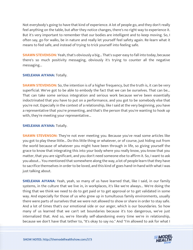Not everybody's going to have that kind of experience. A lot of people go, and they don't really feel anything on the table, but after they notice changes, there's no right way to experience it. But it's very important to remember that our bodies are intelligent and to keep moving. So, I often say, go for walks, be in nature and really let yourself feel safety again. Re-learn what it means to feel safe, and instead of trying to trick yourself into feeling safe.

**SHAWN STEVENSON:** Yeah, that's obviously a big... That's super easy to fall into today, because there's so much positivity messaging, obviously it's trying to counter all the negative messaging...

### **SHELEANA AIYANA: Totally.**

**SHAWN STEVENSON:** So, the intention is of a higher frequency, but the truth is, it can be very superficial. We've got to be able to embody the fact that we can be ourselves. That can be... That can take some serious integration and serious work because we've been essentially indoctrinated that you have to put on a performance, and you got to be somebody else that you're not. Especially in the context of a relationship, like I said at the very beginning, you have a representative that you're presenting, and that's the person that you're wanting to hook up with, they're meeting your representative...

## **SHELEANA AIYANA: Totally.**

**SHAWN STEVENSON:** They're not ever meeting you. Because you've read some articles like you got to play these little... Do this little thing or whatever, or of course, just hiding out from the world because of whatever you might have been through in life, so giving yourself the grace to know that integrating this into your body where you really know, you know that you matter, that you are significant, and you don't need someone else to affirm it. So, I want to ask you about... You mentioned that somewhere along the way, a lot of people learn that they have to sacrifice themselves in order to be loved, and this kind of goes hand-in-hand with what I was just talking about.

**SHELEANA AIYANA:** Yeah, yeah, so many of us have learned that, like I said, in our family systems, in the culture that we live in, in workplaces, it's like we're always... We're doing the thing that we think we need to do to get paid or to get approval or to get validated in some way. And especially for those of us who grew up in tumultuous family environments, usually there were parts of ourselves that we were not allowed to show or share in order to stay safe. And a lot of times that's our emotional side or our anger, which is our boundaries. So how many of us learned that we can't set boundaries because it's too dangerous, we've just internalized that. And so, we're literally self-abandoning every time we're in relationship, because we don't have that tether to, "It's okay to say no." And "I'm allowed to ask for what I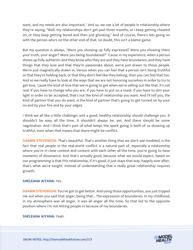want, and my needs are also important." And so, we see a lot of people in relationship where they're saying, "Well, my relationships don't get past three months, or I keep getting cheated on, or they keep getting bored and then just ghosting." And of course, there's lots going on with the person who's on the other end of that, no doubt, this isn't a blame game.

But my question is always, "Were you showing up fully expressed? Were you showing them your truth, your anger? Were you being boundaried?" 'Cause in my experience, when a person shows up fully authentic and they know who they are and they have boundaries, and they have things that they love and that they're passionate about, we're just drawn to those people. We're just magnetically drawn in. Versus when you can feel that a person isn't being truthful or that they're holding back, or that they don't feel like they belong, then you can feel that too. And so we really have to look at the ways that we are not honoring ourselves in order to try to get love, 'cause the kind of love that we're going to get when we're selling out like that, it's not real. If you have to change who you are, if you have to put on a mask, if you have to dim your light in order to be accepted, that's not the kind of relationship you want. And I'll tell you, the kind of partner that you do want, is the kind of partner that's going to get turned on by your no and by your fire and by your edges.

I think we all like a little challenge, and a good, healthy relationship should challenge you. It shouldn't be easy all the time, it shouldn't always be, yes. And there should be some negotiation. And I think that's part of what keeps the spark going is both of us showing up truthful, even when that means that there might be conflict.

**SHAWN STEVENSON:** That's beautiful. That's another thing that we don't see modeled, is the fact that real people in the real-world conflict is a natural part of, especially a relationship where you're in close context and content with each other all the time, you're going to have moments of dissonance. And that's actually good, because what we would expect, based on our programming is that this relationship, if it's good, it just stays that way, happily ever after, that's what we're taught. Instead of understanding that a really great relationship requires growth.

### **SHELEANA AIYANA:** Yes.

**SHAWN STEVENSON:** You've got to get better. And using those opportunities, you just tripped me out when you said that anger, being that... The expression of boundaries. In my childhood, in my atmosphere was all anger, it was all anger all the time. So that led to the opposite position where I'm not letting people in because of my boundaries.

#### **SHELEANA AIYANA:** Yeah.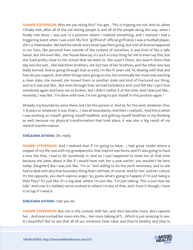**SHAWN STEVENSON:** Why are you doing this? You got... This is tripping me out. And so, when I finally met, after all of the not letting people in and all of the people along the way, when I finally met Anne, I was just in a position where I realized something, and I realized I had a triggering event when I was a kid. My first "girlfriend" official girlfriend, I was a football player, she's a cheerleader. We had the whole story book type then going, but a lot of drama happened in our lives, like personal lives outside of the context of ourselves, it was kind of like a safe haven. But she even like... Her house blew up, it's such a crazy thing for me to even say this, but she lived pretty close to the school that we went to. She wasn't there, she wasn't there that day and she lost... She had three brothers, she lost two of her brothers, and the other one was badly burned. And so going through that as a kid, I'm like 15 years old, 14, dealing with that and how do you support. And other things were going on too, but eventually her mom was wanting a clean slate, she moved, she moved them to another state and kind of fractured our thing, and so it was just like... But even through that, we had turbulence and I just felt like I can't love somebody again and have me so broken, but I didn't realize it at the time. And I was just like... Honestly, I was like, "I'm done with love, I'm not going to put myself in this position again."

Already, my boundaries were there, but I let this person in. And so, for the next, whatever, five, 7, 8 years or whatever it was, that's... I was all boundaries. And then I realized... And this is when I was working on myself, getting myself healthier and getting myself healthier in my thinking as well, because my physical transformation that took place, it was also a big result of my mental transformation.

### **SHELEANA AIYANA: Oh, really.**

**SHAWN STEVENSON:** And I realized that if I'm going to have... I had great model where a snippet of my life, was with my grandparents, that imprint was there, and if I was going to have a love like that, I had to let somebody in. And so, I just happened to meet her at that time because she jokes about it like if I would have met her a year earlier, you wouldn't be here today. [laughter] But I was just like, "I'm in." And willing to do the work necessary, and so she had to deal with also that boundary thing that I still had, of course. And for her, and her culture it's the opposite, you don't express anger. So, guess what's going to happen if I'm just being a little fiery? It's just like, it's a big deal, where I'm just like, "I'm just talking. This is just how we talk." And now it's melded, we've evolved to where I'm less of that, and I have it though, I have it on tap if I need it.

### **SHELEANA AIYANA:** I bet you do.

**SHAWN STEVENSON:** But not in the context with her, and she's become more, she's opened her... And even invited her mom into the... Her mom talking sh\*t... Which is just amazing to see, it's beautiful? But to see that all of our emotions have value and they're healthy and they're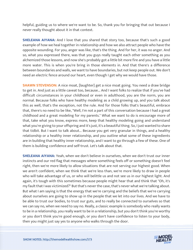helpful, guiding us to where we're want to be. So, thank you for bringing that out because I never really thought about it in that context.

**SHELEANA AIYANA:** And I love that you shared that story too, because that's such a good example of how we heal together in relationship and how we also attract people who have the opposite wounding. For you, anger was like, that's the thing. And for her, it was no anger. And so, what you expressed there, was that you guys really taught each other something as you alchemized those lessons, and now she's probably got a little bit more fire and you have a little more water. This is when you're bring in those elements in. And that there's a difference between boundaries and walls, we want to have boundaries, but not keep people out. We don't need an electric fence around our heart, even though I get why we would have those.

**SHAWN STEVENSON:** A nice moat, [laughter] get a nice moat going. You need a draw bridge to get in. And just as a little caveat too, because... And I want folks to realize that if you've had difficult circumstances in your childhood or even in adulthood, you are the norm, you are normal. Because folks who have healthy modeling as a child growing up, and you talk about this as well, that's the exception, not the rule. And for those folks that's beautiful, embrace that, there's no need to be like, "Well, I'm not a part of this conversation because I had a great childhood and a great modeling for my parents." What we want to do is encourage more of that, take what you know, express more, keep that healthy modeling going and understand what you're giving to your offspring and it's just, it's a beautiful thing. So, I just wanted to share that tidbit. But I want to talk about... Because you get very granular in things, and a healthy relationship or a healthy inner relationship, and you outline what some of these ingredients are in building that healthy inner relationship, and I want to go through a few of these. One of them is building confidence and self-trust. Let's talk about that.

**SHELEANA AIYANA:** Yeah, when we don't believe in ourselves, when we don't trust our inner instincts and our red flag that messages where something feels off or something doesn't feel right, then we're more likely to allow situations that are not serving our highest good. When we aren't confident, when we think that we're less than, we're more likely to draw in people who will take advantage of us, or who will belittle us and not see us in our highest light. And again, it's tough with this sometimes because people might hear that and think that "Oh, it's my fault that I was victimized?" But that's never the case, that's never what we're talking about. But what I am saying is that the energy that we're carrying and the beliefs that we're carrying about ourselves are going to show up in the people that we let into our lives. And we have to be able to trust our bodies, to trust our guts, and to really be connected to ourselves so that we can say no, when we need to say no. Really, a classic example is somebody who really wants to be in a relationship, you really want to be in a relationship, but you don't think you're worthy or you don't think you're good enough, or you don't have confidence to listen to your body, then you might just say yes to anyone who walks through the door.

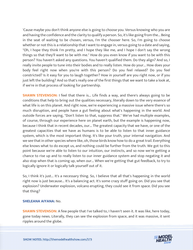'Cause maybe you don't think anyone else is going to choose you. Versus knowing who you are and having the confidence and the clarity to qualify a person. So, it's like going from the... Being in the seat of waiting to be chosen, versus, I'm the chooser here. So, I'm going to choose whether or not this is a relationship that I want to engage in, versus going to a date and saying, "Oh, I hope they think I'm pretty, and I hope they like me, and I hope I don't say the wrong things so that they'll want to be with me." How do you even know if you want to be with this person? You haven't asked any questions. You haven't qualified them. Do they align? And so, I really invite people to tune into their bodies and to really listen. How do your... How does your body feel right now when you're with this person? Do you feel relaxed? Do you feel constricted? Is it easy for you to laugh together? How in yourself are you right now, or if you just left the building? And so that's really one of the first things that we want to take a look at, if we're in that process of looking for partnership.

**SHAWN STEVENSON:** I feel that there is... Life finds a way, and there's always going to be conditions that help to bring out the qualities necessary, literally down to the very essence of what life is on this planet. And right now, we're experiencing a massive issue where there's so much disruption, and people have a gut feeling about what's happening in the world. And outside forces are saying, "Don't listen to that, suppress that." We've had multiple examples, of course, through our experience here on planet earth, but the example is happening now, because I think that in recent decades, our... The greatest capacity that we have, or one of the greatest capacities that we have as humans is to be able to listen to that inner guidance system, which is the most important thing. It's like your truth, your internal navigation. And we see that in other species where like, oh, those birds know how to do a great trail. Everything else knows what to do except us, and nothing could be further from the truth. We got to this point because we're able to listen to our intuition, our instincts, and so now we're getting a chance to rise up and to really listen to our inner guidance system and stop negating it and also stop when that is coming up, when our... When we're getting that gut feedback, to try to logically ignore it or logically talk yourself out of it.

So, I think it's just... It's a necessary thing. So, I believe that all that's happening in the world right now is just because... It's a balancing act. It's some crazy stuff going on. Did you see that explosion? Underwater explosion, volcano erupting, they could see it from space. Did you see that thing?

#### **SHELEANA AIYANA:** No.

**SHAWN STEVENSON:** A few people that I've talked to, I haven't seen it. It was like, here today, gone today news. Literally, they can see the explosion from space, and it was massive, it sent ripples around the globe.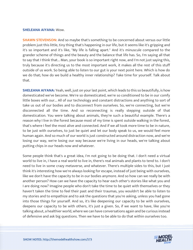#### **SHELEANA AIYANA:** Wow.

**SHAWN STEVENSON:** And so maybe that's something to be concerned about versus our little problem just this little, tiny thing that's happening in our life, but it seems like it's gripping and it's so important and it's like, "My life is falling apart." And it's minuscule compared to the grander scheme of things and the beauty and the balance that life has. So, I'm saying all that to say that I think that... Man, your book is so important right now, and I'm not just saying this, truly because it's directing us to the most important work, it makes all the rest of this stuff outside of us work. So being able to listen to our gut is your next point here. Which is how do we do that; how do we build a healthy inner relationship? Take time for yourself. Talk about that.

**SHELEANA AIYANA:** Yeah, well, just on your last point, which leads to this so beautifully, is how domesticated we've become. We're so domesticated, we're so conditioned to be in our comfy little boxes with our... All of our technology and constant distractions and anything to sort of take us out of our bodies and to disconnect from ourselves. So, we're connecting, but we're disconnected all the time. And so reconnecting is really stepping outside of that domestication. You were talking about animals, they're such a beautiful example. There's a reason why I live in the forest because most of my time is spent outside walking in the forest, that's where I feel the most alive and connected. And if we all took more time to be in nature, to be just with ourselves, to just be quiet and let our body speak to us, we would feel more human again. And so much of our world is just constructed around distraction now, and we're losing our way, we're losing our way because we're living in our heads, we're talking about putting chips in our heads now and whatever.

Some people think that's a great idea, I'm not going to be doing that. I don't need a virtual world to live in, I have a real world to live in, there's real animals and plants to tend to. I don't need to live in some crazy metaverse, and whatever. There's multiple sides to this, but I just think it's interesting how we're always looking for escape, instead of just being with ourselves, like we don't have the capacity to be in our bodies anymore. And so how can we really be with another person? How can we have the capacity to hear each other's stories like what you and I are doing now? Imagine people who don't take the time to be quiet with themselves or they haven't taken the time to feel their past and their traumas, you wouldn't be able to listen to my stories and to empathize and to ask the questions that you're asking, unless you had gone into those things for yourself. And so, it's like deepening our capacity to be with ourselves, deepens our capacity to be with others, it's just a given. So, if we want to have, like you're talking about, a healthier world, where we can have conversations again and be curious instead of defensive and ask big questions. Then we have to be able to do that within ourselves too.

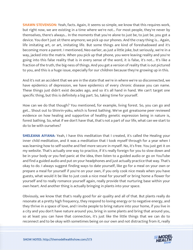**SHAWN STEVENSON:** Yeah, facts. Again, it seems so simple, we know that this requires work, but right now, we are existing in a time where we're not... For most people, they're never by themselves, there's always... In the moments that you're alone to just be, to just be, you got a device. You don't just sit there anymore; we pick up our phones. And the crazy thing is... Again, life imitating art, or art, imitating life. But some things are kind of foreshadowed and it's becoming more a parent. I mentioned, Neo earlier, as just a little joke, but seriously, we're in a way, jacked into the matrix. When you pick up that phone, you were leaving reality and you're going into this false reality that is in every sense of the word, it is false, it's not... It's like a fraction of the truth, the big-ness of things. And you get a version of reality that is out pictured to you, and this is a huge issue, especially for our children because they're growing up in this.

And it's not an accident that we are in the state that we're in where we're so disconnected, we have epidemics of depression, we have epidemics of every chronic disease you can name. These things just didn't exist decades ago, and so it's all hand in hand. We can't target one specific thing, but this is definitely a big part. So, taking time for yourself.

How can we do that though? You mentioned, for example, living forest. So, you can go and get... Shout out to Shinrin-yoku, which is forest bathing. We've got greatsome peer reviewed evidence on how healing and supportive of healthy genetic expression being in nature is, forest bathing. So, what if we don't have that, that's not a part of our life, what can we start to do to be with ourselves?

**SHELEANA AIYANA:** Yeah, I have this meditation that I created, it's called the Healing your inner child meditation, and it was a meditation that I took myself through for a year when I was learning how to self-soothe and feel more secure in myself. No, it's free. You just get it on my website. That's actually one way to practice, if it's really foreign for you to slow down and be in your body or you feel panic at the idea, then listen to a guided audio or go on YouTube and find a guided audio and put on your headphones and just actually practice that way. That's okay to do. I always suggest finding ways to date yourself, like go for a meal on your own or prepare a meal for yourself if you're on your own, if you only cook nice meals when you have guests, what would it be like to just cook a nice meal for yourself or bring home a flower for yourself and to really romance yourself again, really provide that nurturing base within your own heart. And another thing is actually bringing in plants into your space.

Obviously, we know that that's really good for air quality and all of that. But plants really do resonate at a pretty high frequency, they respond to loving energy or to negative energy, and they thrive in a space of love, and I invite people to bring nature into your home, if you live in a city and you don't have nature around you, bring in some plants and bring that around you, so at least you can have that connection, it's just like the little things that we can do to reconnect and to be okay with sometimes being on our own and not distracting from it, really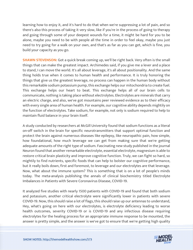learning how to enjoy it, and it's hard to do that when we're suppressing a lot of pain, and so there's also this process of taking it very slow, like if you're in the process of going to therapy and going through some of your deepest wounds for a time, it might be hard for you to be alone, maybe you need to be with people all the time in order to feel okay, maybe you just need to try going for a walk on your own, and that's as far as you can get, which is fine, you build your capacity as you go.

**SHAWN STEVENSON:** Got a quick break coming up, we'll be right back. Very often is the small things that can make the greatest impact. Archimedes said, if you give me a lever and a place to stand, I can move the world. It's all about leverage, it's all about positionality. And the same thing holds true when it comes to human health and performance. It is truly honoring the things that give us the greatest leverage, no process can happen in the human body without this remarkable sodium potassium pump, this exchange helps our mitochondria to create fuel. This exchange helps our heart to beat. This exchange helps all of our brain cells to communicate, nothing is taking place without electrolytes. Electrolytes are minerals that carry an electric charge, and also, we've got mountains peer reviewed evidence as to their efficacy with every single area of human health. For example, our cognitive ability depends mightily on the function of electrolytes. Take sodium, for example, not only is sodium required to help to maintain fluid balance in your brain itself.

A study conducted by researchers at McGill University found that sodium functions as a literal on-off switch in the brain for specific neurotransmitters that support optimal function and protect the brain against numerous diseases like epilepsy, like neuropathic pain, how simple, how foundational, how much leverage we can get from making sure that we're getting adequate amounts of the right type of sodium. Fascinating new study published in the journal Neuron found that another remarkable electrolyte, essential electrolyte, magnesium is able to restore critical brain plasticity and improve cognitive function. Truly, we can fight so hard, so mightily to find nutrients, specific foods that can help to bolster our cognitive performance, but it really boils down, first and foremost, to leverage and our electrolytes are that leverage. Now, what about the immune system? This is something that is on a lot of people's minds today. The meta-analysis publishing the annals of clinical biochemistry titled Electrolyte Imbalances in Patients with Severe Coronavirus Disease, COVID-19.

It analyzed five studies with nearly 1500 patients with COVID-19 and found that both sodium and potassium, another critical electrolyte were significantly lower in patients with severe COVID-19. Now, this should raise a lot of flags, this should raise up our antennas to understand, Hey, what's going on here with our electrolytes, is electrolyte deficiency leading to worse health outcomes, severity COVID-19 or is COVID-19 and any infectious disease requiring electrolytes for the healing process for an appropriate immune response to be mounted, the answer is pretty simple, and the answer is we've got to ensure that we're getting high quality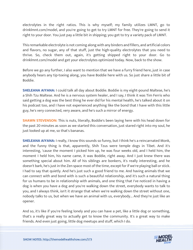electrolytes in the right ratios. This is why myself; my family utilizes LMNT, go to drinklmnt.com/model, and you're going to get to try LMNT for free. They're going to send it right to your door. You just pay a little bit in shipping; you get to try a variety pack of LMNT.

This remarkable electrolyte is not coming along with any binders and fillers, and artificial colors and flavors, no sugar, any of that stuff, just the high-quality electrolytes that you need to thrive. So, check them out, again, it's getting shipped right to your door. Go to drinklmnt.com/model and get your electrolytes optimized today. Now, back to the show.

Before we go any further, I also want to mention that we have a furry friend here, just in case anybody hears any tip-toeing along, you have Boddie here with us. So just share a little bit of Boddie.

**SHELEANA AIYANA:** I could talk all day about Boddie. Boddie is my eight-pound Maltese, he's a Shih Tzu Maltese. And he is a nervous system healer, and I say, I think it was Tim Ferris who said getting a dog was the best thing he ever did for his mental health, he's talked about it on his podcast too, and I have not experienced anything like the bond that I have with this little guy, he's very connected, very aware, and he's such a mirror of energy.

**SHAWN STEVENSON:** This is nuts, literally, Boddie's been laying here with his head down for the past 20 minutes as soon as we started this conversation, just stared right into my soul, he just looked up at me, so that's bananas.

**SHELEANA AIYANA:** I really, I know this sounds so funny, but I think he's a reincarnated Monk, and the funny thing is that, apparently, Shih Tzus were temple dogs in Tibet. And it's interesting, 'cause the moment I picked him up, he was four weeks old, and I held him, the moment I held him, his name came, it was Boddie, right away. And I just knew there was something special about him. All of his siblings are bonkers, it's really interesting, and he doesn't bark, he's just in the Zen space most of the time, except for if we're playing ball or stick. I had to say that quietly. And he's just such a good friend to me. And having animals that we can connect with and bond with is such a beautiful relationship, and it's such a natural thing for us humans to be in relationship with animals, and one thing that I've noticed in having a dog is when you have a dog and you're walking down the street, everybody wants to talk to you, and I always think, isn't it strange that when we're walking down the street without one, nobody talks to us, but when we have an animal with us, everybody... And they're just like an opener.

And so, it's like if you're feeling lonely and you can have a pet, like a little dog or something, that's a really great way to actually get to know the community. It's a great way to make friends. And even just going, little dog meetups and stuff, which I do.

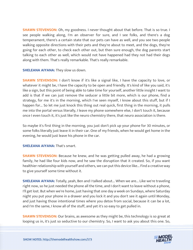**SHAWN STEVENSON:** Oh, my goodness. I never thought about that before. That is so true. I see people walking along, I'm an observer for sure, and I see folks, and there's a dog temperament, there's a certain state that our pets can have as well, and you see two people walking opposite directions with their pets and they're about to meet, and the dogs, they're going for each other, to check each other out, but then sure enough, the dog parents start talking to each other as well, which would not have happened had they not had their dogs along with them. That's really remarkable. That's really remarkable.

**SHELEANA AIYANA:** They slow us down.

**SHAWN STEVENSON:** I don't know if it's like a signal like, I have the capacity to love, or whatever it might be, I have the capacity to be open and friendly. It's kind of like you said, it's like a sign, but this point of being able to take time for yourself, another little insight I want to add is that if we can just remove the seducer a little bit more, which is our phone, find a strategy, for me it's in the morning, which I've seen myself, I know about this stuff, but if I happen for... So let me just knock this thing out real quick, first thing in the morning, it pulls me into the portal versus literally, I leave my phone somewhere else, I don't touch it, because once I even touch it, it's just like the neuro chemistry there, that neuro association is there.

So maybe it's first thing in the morning, you just don't pick up your phone for 30 minutes, or some folks literally just leave it in their car. One of my friends, when he would get home in the evening, he would just leave his phone in the car.

### **SHELEANA AIYANA: That's smart.**

**SHAWN STEVENSON:** Because he knew, and he was getting pulled away, he had a growing family, he had like four kids now, and he saw the disruption that it created. So, if you want healthier relationship with yourself and others, we can put this device like... Find a creative way to give yourself some time without it.

**SHELEANA AIYANA:** Totally, yeah, Ben and I talked about... When we are... Like we're traveling right now, so he just needed the phone all the time, and I don't want to leave without a phone, I'll get lost. But when we're home, just having that one day a week on Sundays, where Saturday night you put your phone in a drawer and you lock it and you don't see it again until Monday, and just having those intentional times where you detox from social, because it can be a lot, and I'm the same, I know all of the stuff, and yet it's so easy to get pulled in.

**SHAWN STEVENSON:** Our brains, as awesome as they might be, this technology is so great at looping us in, it's just so seductive to our chemistry. So, I want to ask you about this one. So,

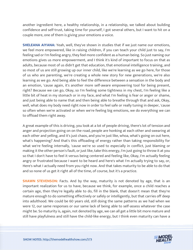another ingredient here, a healthy relationship, in a relationship, we talked about building confidence and self-trust, taking time for yourself, I got several others, but I want to hit on a couple more, one of them is giving your emotions a voice.

**SHELEANA AIYANA:** Yeah, well, they've shown in studies that if we just name our emotions, we feel more empowered, like in raising children, if you can teach your child just to say, I'm feeling sad or I'm feeling angry, they feel more confident as a human being. So just naming our emotions gives us more empowerment, and I think it's kind of important to focus on that as adults, because most of us didn't get that education, that emotional intelligence training, and so most of us are still growing up our inner child, like we're learning as we go here, for those of us who are parenting, we're creating a whole new story for new generations, we're also learning as we go. And being able to feel the difference between a sensation in the body and an emotion, 'cause again, it's another more self-aware empowering tool for being present, right? Because we can go, Okay, so I'm feeling some tightness in my chest, I'm feeling like a little bit of heat in my stomach or in my face, and what I'm feeling is fear or anger or shame, and just being able to name that and then being able to breathe through that and ask, Okay, well, what does my body need right now in order to feel safe or really tuning in deeper, 'cause so often when we're activated or when we're feeling big emotions, we do everything we can to offload them right away.

A great example of this is driving, you look at a lot of people driving, there's lot of tension and anger and projection going on on the road, people are honking at each other and swearing at each other and yelling, and it's just chaos, and you're just like, whoa, what's going on out here, what's happening? And that's this offloading of energy rather than taking responsibility for what we're feeling internally, 'cause we're so used to especially in conflict, just blaming or making it the other person's fault, or just like, take this energy, I'm just going to throw it at you so that I don't have to feel it versus being centered and feeling like, Okay, I'm actually feeling angry or frustrated because I want to be heard and here's what I'm actually trying to say, or, Here's what I actually need from you right now. And that takes maturity to be able to do that and so none of us get it right all of the time, of course, but it's a practice.

**SHAWN STEVENSON:** Facts. And by the way, maturity is not denoted by age, that is an important realization for us to have, because we think, for example, once a child reaches a certain age, then they're legally able to do, fill in the blank, that doesn't mean that they're mature enough to do something effectively or safely or intelligently, but that carries off deep into adulthood. We could be 60 years old, still doing the same patterns as we had when we were 12, our same responses or our same lack of being able to self-assess whatever the case might be. So maturity is, again, not denoted by age, we can all get a little bit more mature and still have playfulness and still have the child-like energy, but I think even maturity can have a

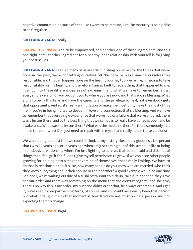negative connotation because of that, like I want to be mature, just like maturity is being able to self-regulate.

#### **SHELEANA AIYANA: Totally.**

**SHAWN STEVENSON:** And to be empowered, and another one of these ingredients, and this one right here, another ingredient for a healthy inner relationship with yourself is forgiving your past selves.

**SHELEANA AIYANA:** Yeah, so many of us are still punishing ourselves for the things that we've done in the past, we're not letting ourselves off the hook or we're making ourselves too responsible, and this can happen more on the healing journey too, we're like, I'm going to take responsibility for my healing and therefore, I am at fault for everything that happened to me, I can go into these different degrees of extremism, and what we have to remember is that every single version of you brought you to where you are now, and that's such a blessing. What a gift to be in this time and have the capacity and the privilege to heal, not everybody gets that opportunity. And so, it's really an invitation to make the most of it, make the most of this life. If you're in being invited to deepen in love and connection, that's a blessing. And we have to remember that every single experience that we've had or a failure that we've endured, there was a lesson there, and so the best thing that we can do is to really have our eyes open and be awake and... What was the lesson there? What was the medicine there? Is there somebody that I need to repair with? Do I just need to repair within myself and really honor those versions?

We were doing the best that we could. If I look at my history like, oh my goodness, the person that I was 20 years ago, or 15 years ago when I'm just coming out of this street kid life or being in an abusive relationship where I'm just fighting to survive, that person said and did a lot of things that I feel guilt for if I don't give myself permission to grow. If we can't see other people growing for holding onto a stagnant version of themselves, that's really limiting. We have to do that in relationship too, it's like, how many people do you know who are married, who think they know everything about their spouse or their partner? A good example would be one time Ben and I; we're waiting outside of a sushi restaurant to pick up, take out, and then they gave her our order and there was something on the menu that she didn't recognize, and she said, There's no way this is my order, my husband didn't order that, he always orders this. And I get it, we're used to our partners patterns, of course, and so I could have easily been that person, but what it taught me in that moment is how fixed we are on knowing a person and not expecting them to change.

**SHAWN STEVENSON:** Right.

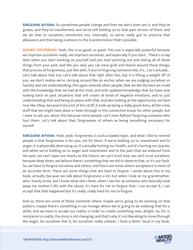**SHELEANA AIYANA:** So sometimes people change and then we don't even see it, and they've grown, and they've transformed, and we're still holding on to that past version of them, and we do that to ourselves sometimes too, internally, so we've really got to practice that allowance and that being a witness to the transformation that's possible.

**SHAWN STEVENSON:** Yeah, this is so good, so good. This one is especially powerful because we imprison ourselves really, we imprison ourselves, and especially if you start... There's a trap door when you start working on yourself and you start pointing out and seeing all of those things from your past, and like you said, you can have guilt and shame around those things, that process of forgiveness, just like with, if you're forgiving someone else, it's... Let's actually... Let's talk about that too. Let's talk about that right after this, but it is lifting a weight off of you, we don't realize we're carrying around like an anchor when we are judging ourselves so harshly and not understanding, this again extends other people, that we did the best we could with the knowledge that we had at the time, and with updated knowledge that we have now looking back on past situations that will create all kinds of negative emotions, and so just understanding that and being at peace with that, and also looking at the opportunity we have now like, Okay, because truly a lot of this stuff, it ends up being a really good story, all the crazy stuff that we might have done or been through in this connective tissue for other people, but I want to ask you about this because some people can't even fathom forgiving someone who hurt them. Let's talk about that, forgiveness of others as being something necessary for ourself.

**SHELEANA AIYANA:** Yeah, yeah, forgiveness is such a loaded topic, and what I like to remind people is that forgiveness is for you, not for them. If we're holding on to resentment and to anger, it is physically destroying us, it's actually hurting our health, and it's hurting our psyche, and when we're holding on to anger and resentment and to the pain that we endured from the past, we can't open our hearts to the future, we can't trust love, we can't trust ourselves, because deep down, we believe there's something that we did to deserve that, or it's our fault. So, we have to forgive ourselves and others, and there are times where acceptance is more of an accurate term. There are some things that are hard to forgive. I wrote about this in my book, actually, because we talk about forgiveness a lot, but when I look at my grandmother, who I barely know, but I know what she's done, when I see her as someone who basically took away my mother's life with the abuse, it's hard for me to forgive that, I can accept it, I can accept that that happened but it's really, really hard for me to forgive.

And so, there are some of these moments where maybe we're going to be working on that pattern, maybe there's something in our lineage where we're going to be undoing that for a while, and we have to accept our reality in order to create something new, alright. So, for in resistance to reality, the story is not changing, and that's why it's so liberating to move through the anger, let ourselves feel it, let ourselves really unleash. I have a letter ritual in my book,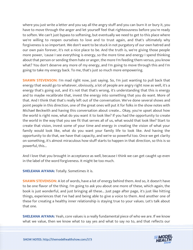where you just write a letter and you say all the angry stuff and you can burn it or bury it, you have to move through the anger and let yourself feel that righteousness before you're ready to soften. We can't just bypass to softening, but eventually we need to get to this place where we're willing to reopen ourselves to love and to trust again, and that's ultimately why forgiveness is so important. We don't want to be stuck in not purgatory of our own hatred and our own pain forever, it's not a nice place to be. And the truth is, we're giving those people more power, 'cause I see everything is energy, so the more time and energy I spend thinking about that person or sending them hate or anger, the more I'm feeding them versus, you know what? You don't deserve any more of my energy, and I'm going to move through this and I'm going to take my energy back. To me, that's just so much more empowering.

**SHAWN STEVENSON:** I'm mad right now, just saying. So, I'm just wanting to pull back that energy that would go to whatever, obviously, a lot of people are angry right now as well, it's a energy that's going out, and it's not that that's wrong, it's understanding that this is energy and to maybe recalibrate that, invest the energy into something that you do want. More of that. And I think that that's really left out of the conversation. We've done several shows and point people in this direction, one of the great ones will put it for folks in the show notes with Michael Beckwith and having this conversation about create... Okay, you're upset about how the world is right now, what do you want it to look like? If you had the opportunity to create the world in the way that you see fit that serves all of us, what would that look like? Start to create that vision, invest some of your time and energy in creating the vision of what your family would look like, what do you want your family life to look like. And having the opportunity to do that, we have that capacity, and we're so powerful too. Once we get clarity on something, it's almost miraculous how stuff starts to happen in that direction, so this is so powerful, this...

And I love that you brought in acceptance as well, because I think we can get caught up even in the label of the word forgiveness. It might be too much.

**SHELEANA AIYANA: Totally. Sometimes it is.** 

**SHAWN STEVENSON:** A lot of words, have a lot of energy behind them. And so, it doesn't have to be one flavor of the thing. I'm going to ask you about one more of these, which again, the book is just wonderful, and just bringing all these... Just page after page, it's just like hitting things, experiences that I've had and being able to give a voice to them. And another one of these for creating a healthy inner relationship is staying true to your values. Let's talk about that one.

**SHELEANA AIYANA:** Yeah, core values is a really fundamental piece of who we are. If we know what we value, then we know what to say yes and what to say no to, and that reflects our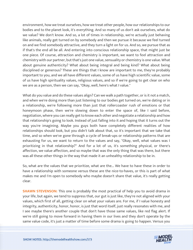environment, how we treat ourselves, how we treat other people, how our relationships to our bodies and to the planet look, it's everything. And so many of us don't ask ourselves, what do we value? We don't know. And so, a lot of times in relationship, we're actually just behaving like animals, really get turned on by somebody and then we pursue it because we feel turned on and we find somebody attractive, and they turn a light on for us. And so, we pursue that as if that's the end all be all. And entering into conscious relationship space, that might just be one piece. Of course, attraction and chemistry is important, we want to feel attraction and chemistry with our partner, but that's just one value, sensuality or chemistry is one value. What about genuine authenticity? What about being integral and being kind? What about being disciplined or generous? These are things that I know are important to me, they're probably important to you, and we all have different values, some of us have high scientific value, some of us have high spirituality values, religious values, and so if we're going to get clear on who we are as a person, then we can say, "Okay, well, here's what I value."

What do you value and do these values align? Can we walk a path together, or is it not a match, and when we're doing more than just listening to our bodies get turned on, we're dating or in a relationship, we're following more than just that rollercoaster rush of emotions or that honeymoon phase, then we're slowing down to enter the space of, like I said before, negotiation, where you can really get to know each other and negotiate a relationship and how that relationship's going to look. Instead of just falling into it and hoping that it turns out the way you're imagining. Maybe you guys both have completely different realities of how relationships should look, but you didn't talk about that, so it's important that we take that time, and so when we've gone through a cycle of break-ups or relationship patterns that are exhausting for us, we want to return to the values and say, "Okay, well, what values was I prioritizing in that relationship?" And for a lot of us, it's something physical, or there's affection, we value affection, and so maybe that was the only thing that was there, but there was all these other things in the way that made it an unhealthy relationship to be in.

So, what are the values that we prioritize, what are the... We have to have these in order to have a relationship with someone versus these are the nice-to-haves, or this is part of what makes me and I'm open to somebody who maybe doesn't share that value, it's really getting clear.

**SHAWN STEVENSON:** This one is probably the most practical of help you to avoid drama in your life, but again, we tend to suppress that, our gut is just like, they're not aligned with your values, which first of all, getting clear on what your values are. For me, if I value honesty and integrity, authenticity, honor, honor, is just that word itself, just really resonates with me, and I see maybe there's another couple that don't have those same values, like red flag alert. If we're still going to move forward in having them in our lives and they don't operate by the same value code, it's just a matter of time before some drama is going to happen. Versus you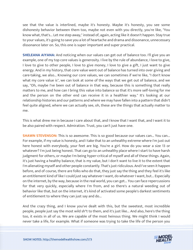see that the value is interlined, maybe it's honesty. Maybe it's honesty, you see some dishonesty behavior between them too, maybe not even with you directly, you're like, "You know what, that's... Let me step away," instead of, again, acting like it doesn't happen. Stay true to your values, it's going to save you a lot of heartache and drama and dissonance, unnecessary dissonance later on. So, this one is super important and super practical.

**SHELEANA AIYANA:** And noticing when our values can get out of balance too. I'll give you an example, one of my top core values is generosity. I live by the rule of abundance, I love to give, I love to give to other people, I love to give money, I love to give a gift, I just want to give energy. And in my history, that core value went out of balance has turned into over giving and care-taking, we also... Knowing our core values, we can sometimes if we're like, "I don't know what my core value is", we can look at some of the ways that we get out of balance, and we say, "Oh, maybe I've been out of balance in that way, because this is something that really matters to me, and how can I bring this value into balance so that it's more self-loving for me and the person on the other end can receive it in a healthier way." It's looking at our relationship histories and our patterns and where we may have fallen into a pattern that didn't feel quite aligned, where we can actually see, oh, these are the things that actually matter to me.

This is what drew me in because I care about that, and I know that I want that, and I want it to be also paired with respect. Admiration. Trust, you can't just have one.

**SHAWN STEVENSON:** This is so awesome. This is so good because our values can... You can... For example, if my value is honesty, and I take that to an unhealthy extreme where I'm just out here honest with everybody, your feet are big. You're a girl. How do you wear a size 13 or whatever? I'm just being honest. That can go to an unhealthy place where I start to have harsh judgment for others, or maybe I'm being hyper-critical of myself and all of these things. Again, it's just having a healthy balance, that is my value, but I don't want to live it to the extent that I'm alienating myself and other people constantly. That's just ridiculous. And I've seen it happen before, and of course, there are folks who do that, they just say the thing and they feel it's like an entitlement kind of like I could just say whatever I want, do whatever I want, but... Especially on the internet, by the way, because in the real world, you can get... You can face repercussions for that very quickly, especially where I'm from, and so there's a natural weeding out of behavior like that, but on the internet, it's kind of activated some people's darkest sentiments of entitlement to where they can just say and do...

And the crazy thing, and I know you've dealt with this, but the sweetest, most incredible people, people just say the most wild sh\*t to them, and it's just like... And also, here's the thing too, it exists in all of us. We are capable of the most heinous thing. We might think I would never take a life, for example. What if someone was trying to take the life of the person you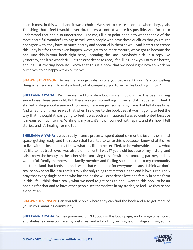cherish most in this world, and it was a choice. We start to create a context where, hey, yeah. The thing that I feel I would never do, there's a context where it's possible. And for us to understand that and also understand... For me, I like to point people to wear capable of the most beautiful, wonderful things as well, even people who have these qualities that you might not agree with, they have so much beauty and potential in them as well. And it starts to create this unity but for that to even happen, we've got to be more mature, we've got to become the one. And this is your book right here, Becoming the One. Everybody pick up a copy like yesterday, and it's a wonderful... It's an experience to read, I feel like I know you so much better, and it's just exciting because I know that this is a book that we need right now to work on ourselves, to be happy within ourselves.

**SHAWN STEVENSON:** Before I let you go, what drove you because I know it's a compelling thing when you want to write a book, what compelled you to write this book right now?

**SHELEANA AIYANA:** Well, I've wanted to write a book since I could write. I've been writing since I was three years old. But there was just something in me, and it happened, I think I started writing about a year and how now, there was just something in me that felt it was time. And what I didn't realize was that when I said yes to the book deal, it wasn't going to feel the way that I thought it was going to feel. It was such an initiation; I was so confronted because it means so much to me. Writing is my art, it's how I connect with spirit, and it's how I tell stories, and it's healing for me too.

**SHELEANA AIYANA:** It was a really intense process, I spent about six months just in the liminal space, getting ready, and the reason that I wanted to write this is because I know what it's like to live with a closed heart, I know what it's like to be terrified, to be vulnerable. I know what it's like to not trust love. I was afraid of men until I was 17 years old because of my history, and I also know the beauty on the other side. I am living this life with this amazing partner, and his wonderful, family members, pet family member and feeling so connected to my community and to the land that feeds me, and I want that experience for everyone because I think we don't realize how short life is or that it's rally the only thing that matters in the end is love. I genuinely pray that every single person who has the desire will experience love and family in some form in this life. I think that's really what we need to get back to and I wanted this book to be an opening for that and to have other people see themselves in my stories, to feel like they're not alone. Yeah.

**SHAWN STEVENSON:** Can you tell people where they can find the book and also get more of you in your amazing community.

**SHELEANA AIYANA:** So risingwoman.com/btobook is the book page, and risingwoman.com, and sheleanaaiyana.com are my websites, and a lot of my writing is on Instagram too, so it's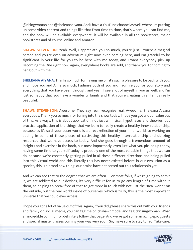@risingwoman and @sheleanaaiyana. And I have a YouTube channel as well, where I'm putting up some video content and things like that from time to time, that's where you can find me, and the book will be available everywhere, it will be available in all the bookstores, major bookstores and of course, online and Amazon.

**SHAWN STEVENSON:** Yeah. Well, I appreciate you so much, you're just... You're a magical person and you're even on adventure right now, even coming here, and I'm grateful to be significant in your life for you to be here with me today, and I want everybody pick up Becoming the One right now, again, everywhere books are sold, and thank you for coming to hang out with me.

**SHELEANA AIYANA:** Thanks so much for having me on, it's such a pleasure to be back with you, and I love you and Anne so much, I admire both of you and I admire you for your story and everything that you have been through, and yeah. I see a lot of myself in you as well, and I'm just so happy that you have a wonderful family and that you're creating this life. It's really beautiful.

**SHAWN STEVENSON:** Awesome. They say real, recognize real. Awesome, Sheleana Aiyana everybody. Thank you so much for tuning into the show today, I hope you got a lot of value out of this. As always, this is about application, not just whimsical, hypotheses and theories, but practical application of the things that we learn to really create a healthy inner relationship, because as it's said, your outer world is a direct reflection of your inner world, so working on adding in some of these pieces of cultivating this healthy interrelationship and utilizing resources that we have access to today. And she goes through a tremendous amount of insights and exercises in the book, but most importantly, even just what you picked up today, having some time to yourself today is probably one of the most valuable things that we can do, because we're constantly getting pulled in all these different directions and being pulled into this virtual world and this literally this has never existed before in our evolution as a species, this is a brand new thing, our brains have not sorted out this relationship yet.

And we can see that to the degree that we are often... For most folks, if we're going to admit it, we are addicted to our devices, it's very difficult for us to go any length of time without them, so helping to break free of that to get more in touch with not just the "Real world" on the outside, but the real world inside of ourselves, which is truly, this is the most important universe that we could ever access.

I hope you got a lot of value out of this. Again, if you did, please share this out with your friends and family on social media, you can tag me on @shawnmodel and tag @risingwoman. What an incredible community, definitely follow that page. And we've got some amazing epic guests and special master classes coming your way very soon. So, make sure to stay tuned. Take care,